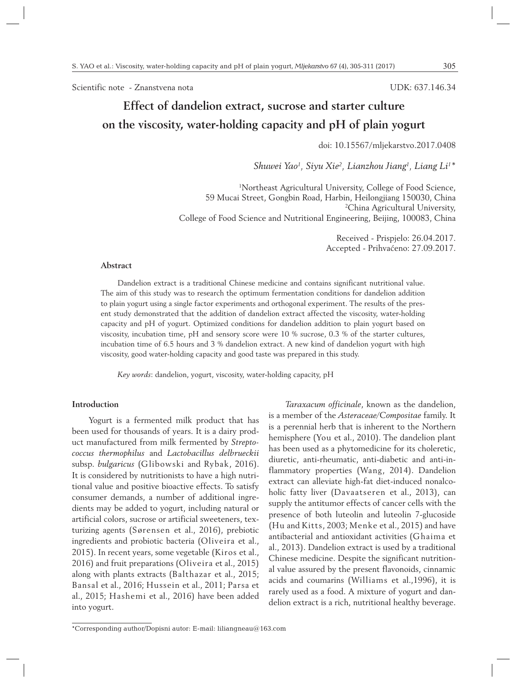Scientific note - Znanstvena nota

UDK: 637.146.34

# **Effect of dandelion extract, sucrose and starter culture on the viscosity, water-holding capacity and pH of plain yogurt**

doi: 10.15567/mljekarstvo.2017.0408

*Shuwei Yao1 , Siyu Xie2 , Lianzhou Jiang1 , Liang Li1 \**

1 Northeast Agricultural University, College of Food Science, 59 Mucai Street, Gongbin Road, Harbin, Heilongjiang 150030, China 2 China Agricultural University, College of Food Science and Nutritional Engineering, Beijing, 100083, China

> Received - Prispjelo: 26.04.2017. Accepted - Prihvaćeno: 27.09.2017.

# **Abstract**

Dandelion extract is a traditional Chinese medicine and contains significant nutritional value. The aim of this study was to research the optimum fermentation conditions for dandelion addition to plain yogurt using a single factor experiments and orthogonal experiment. The results of the present study demonstrated that the addition of dandelion extract affected the viscosity, water-holding capacity and pH of yogurt. Optimized conditions for dandelion addition to plain yogurt based on viscosity, incubation time, pH and sensory score were 10 % sucrose, 0.3 % of the starter cultures, incubation time of 6.5 hours and 3 % dandelion extract. A new kind of dandelion yogurt with high viscosity, good water-holding capacity and good taste was prepared in this study.

*Key words*: dandelion, yogurt, viscosity, water-holding capacity, pH

#### **Introduction**

Yogurt is a fermented milk product that has been used for thousands of years. It is a dairy product manufactured from milk fermented by *Streptococcus thermophilus* and *Lactobacillus delbrueckii*  subsp. *bulgaricus* (Glibowski and Rybak, 2016). It is considered by nutritionists to have a high nutritional value and positive bioactive effects. To satisfy consumer demands, a number of additional ingredients may be added to yogurt, including natural or artificial colors, sucrose or artificial sweeteners, texturizing agents (Sørensen et al., 2016), prebiotic ingredients and probiotic bacteria (Oliveira et al., 2015). In recent years, some vegetable (Kiros et al., 2016) and fruit preparations (Oliveira et al., 2015) along with plants extracts (Balthazar et al., 2015; Bansal et al., 2016; Hussein et al., 2011; Parsa et al., 2015; Hashemi et al., 2016) have been added into yogurt.

*Taraxacum officinale*, known as the dandelion, is a member of the *Asteraceae/Compositae* family. It is a perennial herb that is inherent to the Northern hemisphere (You et al., 2010). The dandelion plant has been used as a phytomedicine for its choleretic, diuretic, anti-rheumatic, anti-diabetic and anti-inflammatory properties (Wang, 2014). Dandelion extract can alleviate high-fat diet-induced nonalcoholic fatty liver (Davaatseren et al., 2013), can supply the antitumor effects of cancer cells with the presence of both luteolin and luteolin 7-glucoside (Hu and Kitts, 2003; Menke et al., 2015) and have antibacterial and antioxidant activities (Ghaima et al., 2013). Dandelion extract is used by a traditional Chinese medicine. Despite the significant nutritional value assured by the present flavonoids, cinnamic acids and coumarins (Williams et al.,1996), it is rarely used as a food. A mixture of yogurt and dandelion extract is a rich, nutritional healthy beverage.

<sup>\*</sup>Corresponding author/Dopisni autor: E-mail: liliangneau@163.com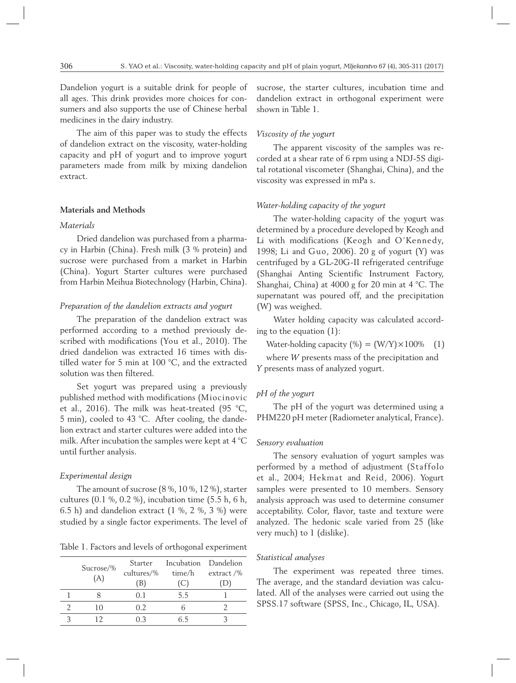Dandelion yogurt is a suitable drink for people of all ages. This drink provides more choices for consumers and also supports the use of Chinese herbal medicines in the dairy industry.

The aim of this paper was to study the effects of dandelion extract on the viscosity, water-holding capacity and pH of yogurt and to improve yogurt parameters made from milk by mixing dandelion extract.

#### **Materials and Methods**

#### *Materials*

Dried dandelion was purchased from a pharmacy in Harbin (China). Fresh milk (3 % protein) and sucrose were purchased from a market in Harbin (China). Yogurt Starter cultures were purchased from Harbin Meihua Biotechnology (Harbin, China).

## *Preparation of the dandelion extracts and yogurt*

The preparation of the dandelion extract was performed according to a method previously described with modifications (You et al., 2010). The dried dandelion was extracted 16 times with distilled water for 5 min at 100 °C, and the extracted solution was then filtered.

Set yogurt was prepared using a previously published method with modifications (Miocinovic et al., 2016). The milk was heat-treated (95 °C, 5 min), cooled to 43 °C. After cooling, the dandelion extract and starter cultures were added into the milk. After incubation the samples were kept at 4 °C until further analysis.

#### *Experimental design*

The amount of sucrose (8 %, 10 %, 12 %), starter cultures (0.1 %, 0.2 %), incubation time (5.5 h, 6 h, 6.5 h) and dandelion extract (1 %, 2 %, 3 %) were studied by a single factor experiments. The level of

Table 1. Factors and levels of orthogonal experiment

|           | Starter    | Incubation Dandelion |               |
|-----------|------------|----------------------|---------------|
| Sucrose/% | cultures/% | time/h               | extract $/$ % |
| (A)       | (B)        | <sup>"C)</sup>       |               |
|           | 01         | 5.5                  |               |
| 10        | 02         |                      |               |
| 17        | 03         | հ 5                  |               |

sucrose, the starter cultures, incubation time and dandelion extract in orthogonal experiment were shown in Table 1.

# *Viscosity of the yogurt*

The apparent viscosity of the samples was recorded at a shear rate of 6 rpm using a NDJ-5S digital rotational viscometer (Shanghai, China), and the viscosity was expressed in mPa s.

#### *Water-holding capacity of the yogurt*

The water-holding capacity of the yogurt was determined by a procedure developed by Keogh and Li with modifications (Keogh and O'Kennedy, 1998; Li and Guo, 2006). 20 g of yogurt (Y) was centrifuged by a GL-20G-II refrigerated centrifuge (Shanghai Anting Scientific Instrument Factory, Shanghai, China) at 4000 g for 20 min at 4 °C. The supernatant was poured off, and the precipitation (W) was weighed.

Water holding capacity was calculated according to the equation (1):

Water-holding capacity  $(\%) = (W/Y) \times 100\%$  (1)

where *W* presents mass of the precipitation and *Y* presents mass of analyzed yogurt.

# *pH of the yogurt*

The pH of the yogurt was determined using a PHM220 pH meter (Radiometer analytical, France).

#### *Sensory evaluation*

The sensory evaluation of yogurt samples was performed by a method of adjustment (Staffolo et al., 2004; Hekmat and Reid, 2006). Yogurt samples were presented to 10 members. Sensory analysis approach was used to determine consumer acceptability. Color, flavor, taste and texture were analyzed. The hedonic scale varied from 25 (like very much) to 1 (dislike).

# *Statistical analyses*

The experiment was repeated three times. The average, and the standard deviation was calculated. All of the analyses were carried out using the SPSS.17 software (SPSS, Inc., Chicago, IL, USA).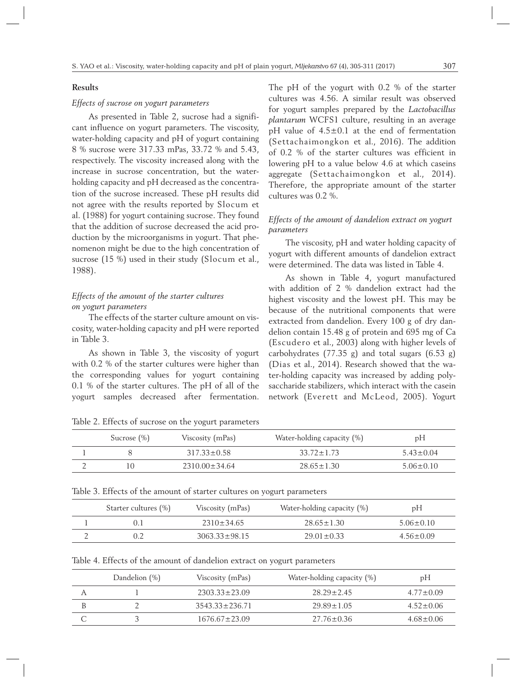## **Results**

## *Effects of sucrose on yogurt parameters*

As presented in Table 2, sucrose had a significant influence on yogurt parameters. The viscosity, water-holding capacity and pH of yogurt containing 8 % sucrose were 317.33 mPas, 33.72 % and 5.43, respectively. The viscosity increased along with the increase in sucrose concentration, but the waterholding capacity and pH decreased as the concentration of the sucrose increased. These pH results did not agree with the results reported by Slocum et al. (1988) for yogurt containing sucrose. They found that the addition of sucrose decreased the acid production by the microorganisms in yogurt. That phenomenon might be due to the high concentration of sucrose (15 %) used in their study (Slocum et al., 1988).

# *Effects of the amount of the starter cultures on yogurt parameters*

The effects of the starter culture amount on viscosity, water-holding capacity and pH were reported in Table 3.

As shown in Table 3, the viscosity of yogurt with 0.2 % of the starter cultures were higher than the corresponding values for yogurt containing 0.1 % of the starter cultures. The pH of all of the yogurt samples decreased after fermentation.

The pH of the yogurt with 0.2 % of the starter cultures was 4.56. A similar result was observed for yogurt samples prepared by the *Lactobacillus plantarum* WCFS1 culture, resulting in an average pH value of 4.5±0.1 at the end of fermentation (Settachaimongkon et al., 2016). The addition of 0.2 % of the starter cultures was efficient in lowering pH to a value below 4.6 at which caseins aggregate (Settachaimongkon et al., 2014). Therefore, the appropriate amount of the starter cultures was 0.2 %.

# *Effects of the amount of dandelion extract on yogurt parameters*

The viscosity, pH and water holding capacity of yogurt with different amounts of dandelion extract were determined. The data was listed in Table 4.

As shown in Table 4, yogurt manufactured with addition of 2 % dandelion extract had the highest viscosity and the lowest pH. This may be because of the nutritional components that were extracted from dandelion. Every 100 g of dry dandelion contain 15.48 g of protein and 695 mg of Ca (Escudero et al., 2003) along with higher levels of carbohydrates (77.35 g) and total sugars (6.53 g) (Dias et al., 2014). Research showed that the water-holding capacity was increased by adding polysaccharide stabilizers, which interact with the casein network (Everett and McLeod, 2005). Yogurt

| Table 2. Effects of sucrose on the yogurt parameter |  |
|-----------------------------------------------------|--|
|-----------------------------------------------------|--|

| Sucrose $(\%)$ | Viscosity (mPas)    | Water-holding capacity (%) | pH              |
|----------------|---------------------|----------------------------|-----------------|
|                | $317.33 \pm 0.58$   | $33.72 \pm 1.73$           | $5.43 \pm 0.04$ |
|                | $2310.00 \pm 34.64$ | $28.65 \pm 1.30$           | $5.06 + 0.10$   |

Table 3. Effects of the amount of starter cultures on yogurt parameters

| Starter cultures (%) | Viscosity (mPas)  | Water-holding capacity $(\%)$ | pН            |
|----------------------|-------------------|-------------------------------|---------------|
|                      | $7310 + 34.65$    | $28.65 \pm 1.30$              | $5.06 + 0.10$ |
|                      | $3063.33 + 98.15$ | $29.01 + 0.33$                | $4.56 + 0.09$ |

| Table 4. Effects of the amount of dandelion extract on yogurt parameters |
|--------------------------------------------------------------------------|
|--------------------------------------------------------------------------|

| Dandelion (%) | Viscosity (mPas)     | Water-holding capacity $(\%)$ | pH              |
|---------------|----------------------|-------------------------------|-----------------|
|               | $2303.33 \pm 23.09$  | $28.29 \pm 2.45$              | $4.77 \pm 0.09$ |
|               | $3543.33 \pm 236.71$ | $29.89 \pm 1.05$              | $4.52 \pm 0.06$ |
|               | $1676.67 + 23.09$    | $27.76 \pm 0.36$              | $4.68 + 0.06$   |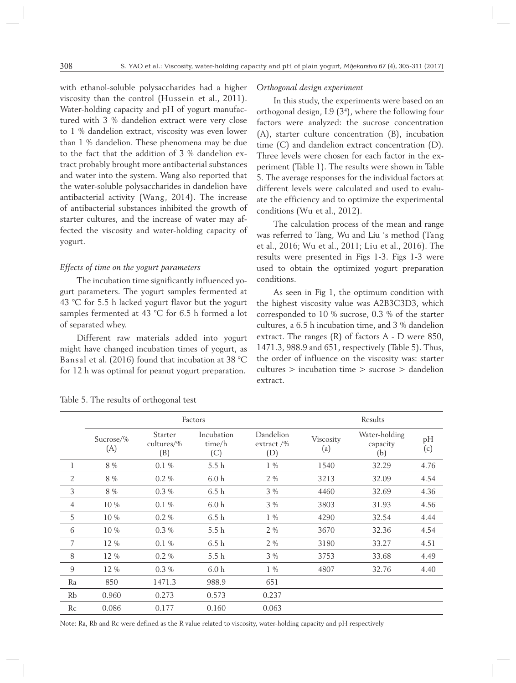with ethanol-soluble polysaccharides had a higher viscosity than the control (Hussein et al., 2011). Water-holding capacity and pH of yogurt manufactured with 3 % dandelion extract were very close to 1 % dandelion extract, viscosity was even lower than 1 % dandelion. These phenomena may be due to the fact that the addition of 3 % dandelion extract probably brought more antibacterial substances and water into the system. Wang also reported that the water-soluble polysaccharides in dandelion have antibacterial activity (Wang, 2014). The increase of antibacterial substances inhibited the growth of starter cultures, and the increase of water may affected the viscosity and water-holding capacity of yogurt.

#### *Effects of time on the yogurt parameters*

The incubation time significantly influenced yogurt parameters. The yogurt samples fermented at 43 °C for 5.5 h lacked yogurt flavor but the yogurt samples fermented at 43 °C for 6.5 h formed a lot of separated whey.

Different raw materials added into yogurt might have changed incubation times of yogurt, as Bansal et al. (2016) found that incubation at 38 °C for 12 h was optimal for peanut yogurt preparation.

#### *Orthogonal design experiment*

In this study, the experiments were based on an orthogonal design, L9 (34 ), where the following four factors were analyzed: the sucrose concentration (A), starter culture concentration (B), incubation time (C) and dandelion extract concentration (D). Three levels were chosen for each factor in the experiment (Table 1). The results were shown in Table 5. The average responses for the individual factors at different levels were calculated and used to evaluate the efficiency and to optimize the experimental conditions (Wu et al., 2012).

The calculation process of the mean and range was referred to Tang, Wu and Liu 's method (Tang et al., 2016; Wu et al., 2011; Liu et al., 2016). The results were presented in Figs 1-3. Figs 1-3 were used to obtain the optimized yogurt preparation conditions.

As seen in Fig 1, the optimum condition with the highest viscosity value was A2B3C3D3, which corresponded to 10 % sucrose, 0.3 % of the starter cultures, a 6.5 h incubation time, and 3 % dandelion extract. The ranges (R) of factors A - D were 850, 1471.3, 988.9 and 651, respectively (Table 5). Thus, the order of influence on the viscosity was: starter cultures > incubation time > sucrose > dandelion extract.

|                | Factors          |                              |                             |                                   | Results          |                                  |           |
|----------------|------------------|------------------------------|-----------------------------|-----------------------------------|------------------|----------------------------------|-----------|
|                | Sucrose/%<br>(A) | Starter<br>cultures/%<br>(B) | Incubation<br>time/h<br>(C) | Dandelion<br>extract $/$ %<br>(D) | Viscosity<br>(a) | Water-holding<br>capacity<br>(b) | pH<br>(c) |
| 1              | 8 %              | $0.1\%$                      | 5.5 h                       | $1\%$                             | 1540             | 32.29                            | 4.76      |
| $\overline{2}$ | 8 %              | $0.2\%$                      | 6.0 <sub>h</sub>            | $2\%$                             | 3213             | 32.09                            | 4.54      |
| $\mathfrak{Z}$ | 8 %              | $0.3\%$                      | 6.5h                        | $3\%$                             | 4460             | 32.69                            | 4.36      |
| $\overline{4}$ | $10\%$           | $0.1\%$                      | 6.0 <sub>h</sub>            | $3\%$                             | 3803             | 31.93                            | 4.56      |
| 5              | 10 %             | $0.2\%$                      | 6.5h                        | $1\%$                             | 4290             | 32.54                            | 4.44      |
| 6              | 10 %             | $0.3\%$                      | 5.5h                        | $2\%$                             | 3670             | 32.36                            | 4.54      |
| 7              | 12 %             | $0.1\%$                      | 6.5h                        | $2\%$                             | 3180             | 33.27                            | 4.51      |
| 8              | 12 %             | $0.2 \%$                     | 5.5 h                       | $3\%$                             | 3753             | 33.68                            | 4.49      |
| 9              | 12 %             | $0.3\%$                      | 6.0 <sub>h</sub>            | $1\%$                             | 4807             | 32.76                            | 4.40      |
| Ra             | 850              | 1471.3                       | 988.9                       | 651                               |                  |                                  |           |
| Rb             | 0.960            | 0.273                        | 0.573                       | 0.237                             |                  |                                  |           |
| Rc             | 0.086            | 0.177                        | 0.160                       | 0.063                             |                  |                                  |           |

Table 5. The results of orthogonal test

Note: Ra, Rb and Rc were defined as the R value related to viscosity, water-holding capacity and pH respectively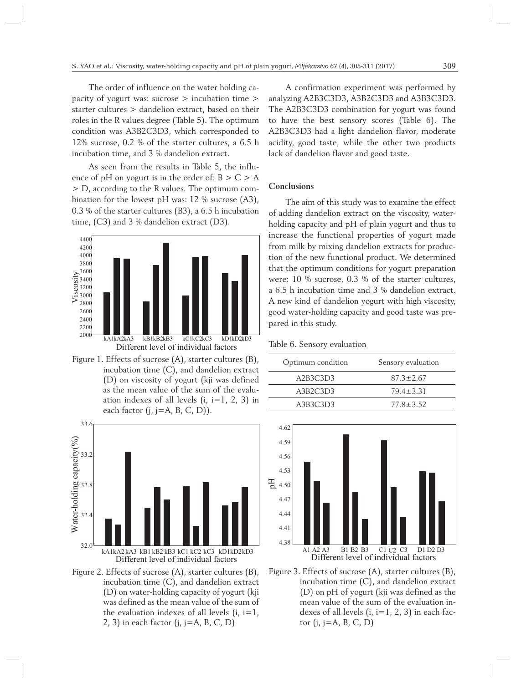The order of influence on the water holding capacity of yogurt was: sucrose > incubation time > starter cultures > dandelion extract, based on their roles in the R values degree (Table 5). The optimum condition was A3B2C3D3, which corresponded to 12% sucrose, 0.2 % of the starter cultures, a 6.5 h incubation time, and 3 % dandelion extract.

As seen from the results in Table 5, the influence of pH on yogurt is in the order of:  $B > C > A$ > D, according to the R values. The optimum combination for the lowest pH was: 12 % sucrose (A3), 0.3 % of the starter cultures (B3), a 6.5 h incubation time, (C3) and 3 % dandelion extract (D3).



Figure 1. Effects of sucrose (A), starter cultures (B), incubation time (C), and dandelion extract (D) on viscosity of yogurt (kji was defined as the mean value of the sum of the evaluation indexes of all levels  $(i, i=1, 2, 3)$  in each factor  $(j, j=A, B, C, D)$ ).



Figure 2. Effects of sucrose (A), starter cultures (B), incubation time (C), and dandelion extract (D) on water-holding capacity of yogurt (kji was defined as the mean value of the sum of the evaluation indexes of all levels  $(i, i=1, j)$ 2, 3) in each factor  $(i, j = A, B, C, D)$ 

A confirmation experiment was performed by analyzing A2B3C3D3, A3B2C3D3 and A3B3C3D3. The A2B3C3D3 combination for yogurt was found to have the best sensory scores (Table 6). The A2B3C3D3 had a light dandelion flavor, moderate acidity, good taste, while the other two products lack of dandelion flavor and good taste.

#### **Conclusions**

The aim of this study was to examine the effect of adding dandelion extract on the viscosity, waterholding capacity and pH of plain yogurt and thus to increase the functional properties of yogurt made from milk by mixing dandelion extracts for production of the new functional product. We determined that the optimum conditions for yogurt preparation were: 10 % sucrose, 0.3 % of the starter cultures, a 6.5 h incubation time and 3 % dandelion extract. A new kind of dandelion yogurt with high viscosity, good water-holding capacity and good taste was prepared in this study.

# Table 6. Sensory evaluation

| Optimum condition | Sensory evaluation |
|-------------------|--------------------|
| A2B3C3D3          | $87.3 + 7.67$      |
| A3B2C3D3          | $79.4 + 3.31$      |
| A3B3C3D3          | $77.8 + 3.52$      |



Figure 3. Effects of sucrose (A), starter cultures (B), incubation time (C), and dandelion extract (D) on pH of yogurt (kji was defined as the mean value of the sum of the evaluation indexes of all levels  $(i, i=1, 2, 3)$  in each factor  $(i, j=A, B, C, D)$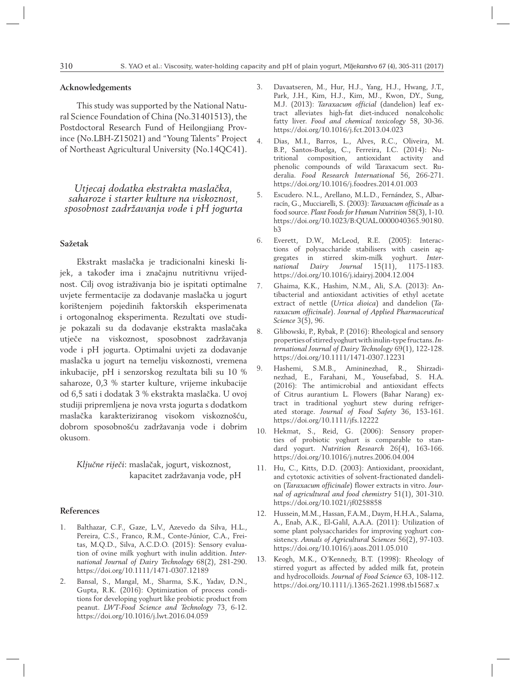## **Acknowledgements**

This study was supported by the National Natural Science Foundation of China (No.31401513), the Postdoctoral Research Fund of Heilongjiang Province (No.LBH-Z15021) and "Young Talents" Project of Northeast Agricultural University (No.14QC41).

*Utjecaj dodatka ekstrakta maslačka, saharoze i starter kulture na viskoznost, sposobnost zadržavanja vode i pH jogurta*

#### **Sažetak**

Ekstrakt maslačka je tradicionalni kineski lijek, a također ima i značajnu nutritivnu vrijednost. Cilj ovog istraživanja bio je ispitati optimalne uvjete fermentacije za dodavanje maslačka u jogurt korištenjem pojedinih faktorskih eksperimenata i ortogonalnog eksperimenta. Rezultati ove studije pokazali su da dodavanje ekstrakta maslačaka utječe na viskoznost, sposobnost zadržavanja vode i pH jogurta. Optimalni uvjeti za dodavanje maslačka u jogurt na temelju viskoznosti, vremena inkubacije, pH i senzorskog rezultata bili su 10 % saharoze, 0,3 % starter kulture, vrijeme inkubacije od 6,5 sati i dodatak 3 % ekstrakta maslačka. U ovoj studiji pripremljena je nova vrsta jogurta s dodatkom maslačka karakteriziranog visokom viskoznošću, dobrom sposobnošću zadržavanja vode i dobrim okusom.

*Ključne riječi*: maslačak, jogurt, viskoznost, kapacitet zadržavanja vode, pH

## **References**

- 1. Balthazar, C.F., Gaze, L.V., Azevedo da Silva, H.L., Pereira, C.S., Franco, R.M., Conte-Júnior, C.A., Freitas, M.Q.D., Silva, A.C.D.O. (2015): Sensory evaluation of ovine milk yoghurt with inulin addition. *International Journal of Dairy Technology* 68(2), 281-290. https://doi.org/10.1111/1471-0307.12189
- 2. Bansal, S., Mangal, M., Sharma, S.K., Yadav, D.N., Gupta, R.K. (2016): Optimization of process conditions for developing yoghurt like probiotic product from peanut. *LWT-Food Science and Technology* 73, 6-12. https://doi.org/10.1016/j.lwt.2016.04.059
- 3. Davaatseren, M., Hur, H.J., Yang, H.J., Hwang, J.T., Park, J.H., Kim, H.J., Kim, MJ., Kwon, DY., Sung, M.J. (2013): *Taraxacum official* (dandelion) leaf extract alleviates high-fat diet-induced nonalcoholic fatty liver. *Food and chemical toxicology* 58, 30-36. https://doi.org/10.1016/j.fct.2013.04.023
- 4. Dias, M.I., Barros, L., Alves, R.C., Oliveira, M. B.P., Santos-Buelga, C., Ferreira, I.C. (2014): Nutritional composition, antioxidant activity and phenolic compounds of wild Taraxacum sect. Ruderalia. *Food Research International* 56, 266-271. https://doi.org/10.1016/j.foodres.2014.01.003
- 5. Escudero. N.L., Arellano, M.L.D., Fernández, S., Albarracín, G., Mucciarelli, S. (2003): *Taraxacum officinale* as a food source. *Plant Foods for Human Nutrition* 58(3), 1-10. https://doi.org/10.1023/B:QUAL.0000040365.90180.  $h<sub>3</sub>$
- 6. Everett, D.W., McLeod, R.E. (2005): Interactions of polysaccharide stabilisers with casein aggregates in stirred skim-milk yoghurt. *International Dairy Journal* 15(11), 1175-1183. https://doi.org/10.1016/j.idairyj.2004.12.004
- 7. Ghaima, K.K., Hashim, N.M., Ali, S.A. (2013): Antibacterial and antioxidant activities of ethyl acetate extract of nettle (*Urtica dioica*) and dandelion (*Taraxacum officinale*). *Journal of Applied Pharmaceutical Science* 3(5), 96.
- 8. Glibowski, P., Rybak, P. (2016): Rheological and sensory properties of stirred yoghurt with inulin-type fructans. *International Journal of Dairy Technology* 69(1), 122-128. https://doi.org/10.1111/1471-0307.12231
- 9. Hashemi, S.M.B., Amininezhad, R., Shirzadinezhad, E., Farahani, M., Yousefabad, S. H.A. (2016): The antimicrobial and antioxidant effects of Citrus aurantium L. Flowers (Bahar Narang) extract in traditional yoghurt stew during refrigerated storage. *Journal of Food Safety* 36, 153-161. https://doi.org/10.1111/jfs.12222
- 10. Hekmat, S., Reid, G. (2006): Sensory properties of probiotic yoghurt is comparable to standard yogurt. *Nutrition Research* 26(4), 163-166. https://doi.org/10.1016/j.nutres.2006.04.004
- 11. Hu, C., Kitts, D.D. (2003): Antioxidant, prooxidant, and cytotoxic activities of solvent-fractionated dandelion (*Taraxacum officinale*) flower extracts in vitro. *Journal of agricultural and food chemistry* 51(1), 301-310. https://doi.org/10.1021/jf0258858
- 12. Hussein, M.M., Hassan, F.A.M., Daym, H.H.A., Salama, A., Enab, A.K., El-Galil, A.A.A. (2011): Utilization of some plant polysaccharides for improving yoghurt consistency. *Annals of Agricultural Sciences* 56(2), 97-103. https://doi.org/10.1016/j.aoas.2011.05.010
- 13. Keogh, M.K., O'Kennedy, B.T. (1998): Rheology of stirred yogurt as affected by added milk fat, protein and hydrocolloids. *Journal of Food Science* 63, 108-112. https://doi.org/10.1111/j.1365-2621.1998.tb15687.x